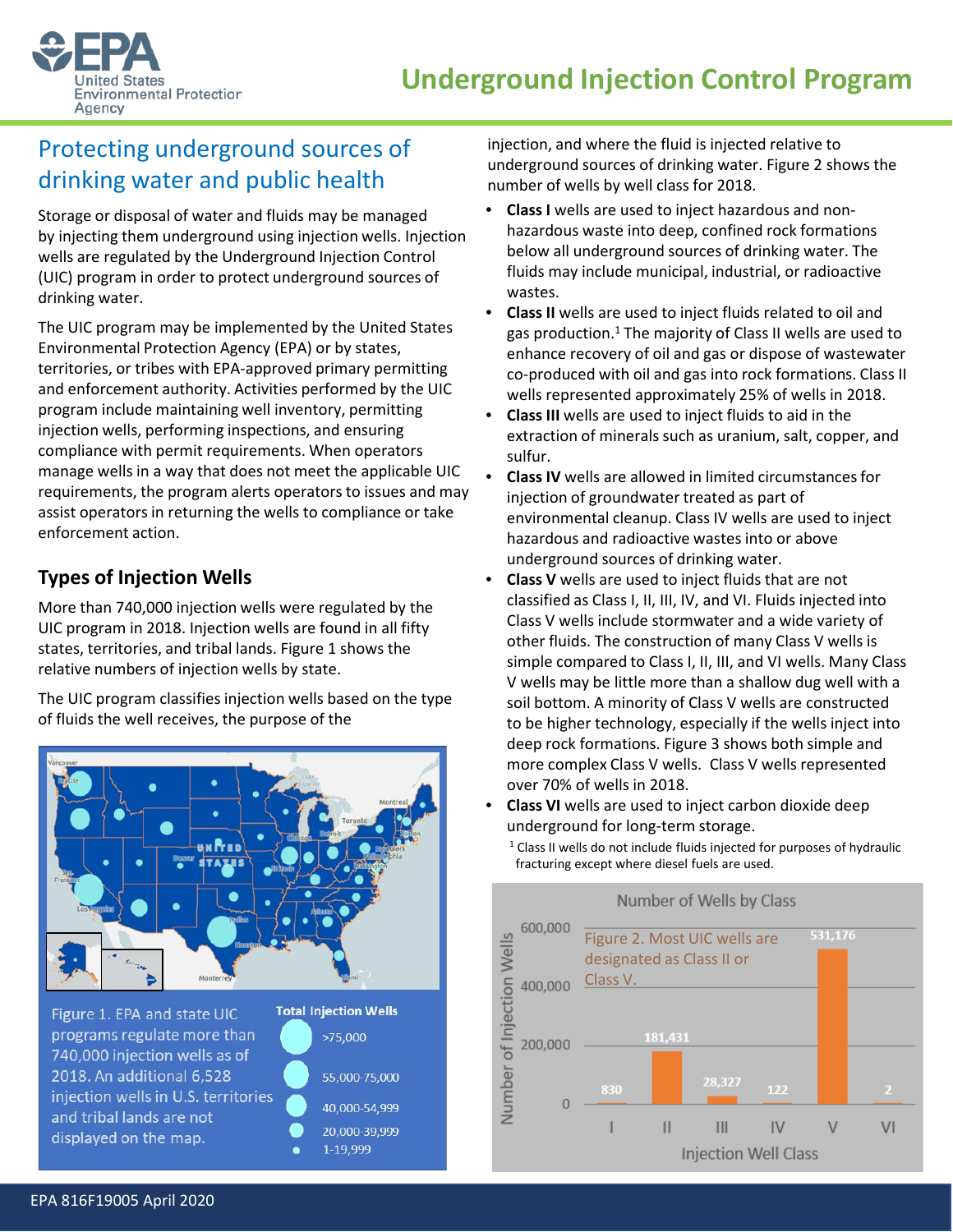



# Protecting underground sources of drinking water and public health

Storage or disposal of water and fluids may be managed by injecting them underground using injection wells. Injection wells are regulated by the Underground Injection Control (UIC) program in order to protect underground sources of drinking water.

The UIC program may be implemented by the United States Environmental Protection Agency (EPA) or by states, territories, or tribes with EPA-approved primary permitting and enforcement authority. Activities performed by the UIC program include maintaining well inventory, permitting injection wells, performing inspections, and ensuring compliance with permit requirements. When operators manage wells in a way that does not meet the applicable UIC requirements, the program alerts operators to issues and may assist operators in returning the wells to compliance or take enforcement action.

## **Types of Injection Wells**

More than 740,000 injection wells were regulated by the UIC program in 2018. Injection wells are found in all fifty states, territories, and tribal lands. Figure 1 shows the relative numbers of injection wells by state.

The UIC program classifies injection wells based on the type of fluids the well receives, the purpose of the



Figure 1. EPA and state UIC programs regulate more than 740,000 injection wells as of 2018. An additional 6,528 injection wells in U.S. territories and tribal lands are not displayed on the map.



injection, and where the fluid is injected relative to underground sources of drinking water. Figure 2 shows the number of wells by well class for 2018.

- **Class I** wells are used to inject hazardous and nonhazardous waste into deep, confined rock formations below all underground sources of drinking water. The fluids may include municipal, industrial, or radioactive wastes.
- **Class II** wells are used to inject fluids related to oil and gas production. $1$  The majority of Class II wells are used to enhance recovery of oil and gas or dispose of wastewater co-produced with oil and gas into rock formations. Class II wells represented approximately 25% of wells in 2018.
- **Class III** wells are used to inject fluids to aid in the extraction of minerals such as uranium, salt, copper, and sulfur.
- **Class IV** wells are allowed in limited circumstances for injection of groundwater treated as part of environmental cleanup. Class IV wells are used to inject hazardous and radioactive wastes into or above underground sources of drinking water.
- **Class V** wells are used to inject fluids that are not classified as Class I, II, III, IV, and VI. Fluids injected into Class V wells include stormwater and a wide variety of other fluids. The construction of many Class V wells is simple compared to Class I, II, III, and VI wells. Many Class V wells may be little more than a shallow dug well with a soil bottom. A minority of Class V wells are constructed to be higher technology, especially if the wells inject into deep rock formations. Figure 3 shows both simple and more complex Class V wells. Class V wells represented over 70% of wells in 2018.
- **Class VI** wells are used to inject carbon dioxide deep underground for long-term storage.
- Number of Wells by Class 600,000 Number of Injection Wells Figure 2. Most UIC wells are 531,176 designated as Class II or Class V. 400,000 181,431 200,000 28.327 122  $\mathbf 0$  $\mathbf{II}$  $III$ IV  $\vee$  $VI$ **Injection Well Class**
- <sup>1</sup> Class II wells do not include fluids injected for purposes of hydraulic fracturing except where diesel fuels are used.